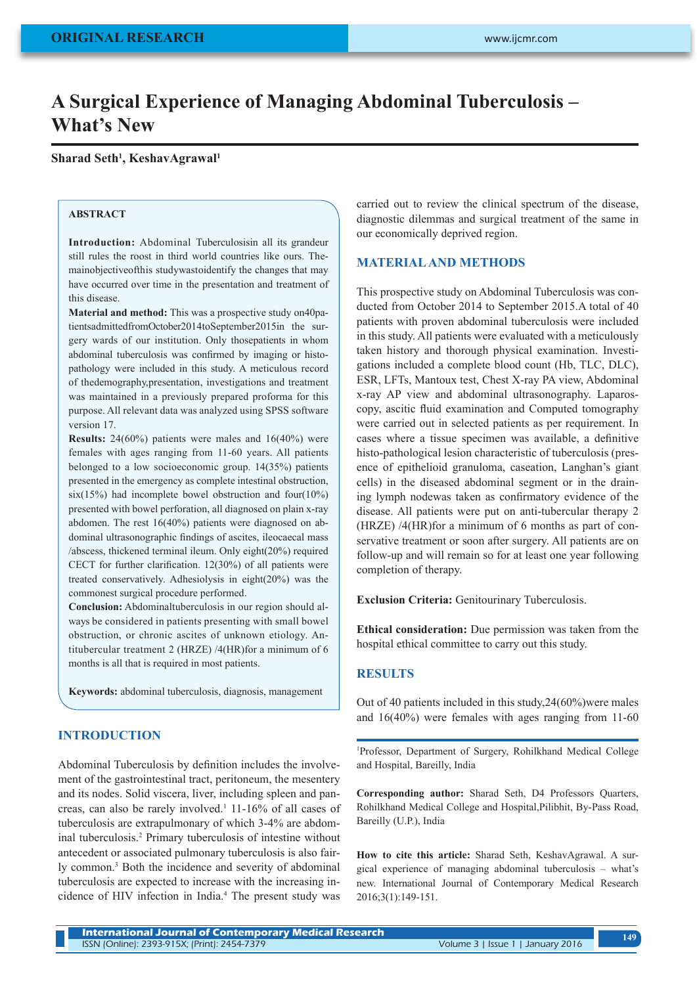# **A Surgical Experience of Managing Abdominal Tuberculosis – What's New**

**Sharad Seth1 , KeshavAgrawal1**

#### **ABSTRACT**

**Introduction:** Abdominal Tuberculosisin all its grandeur still rules the roost in third world countries like ours. Themainobjectiveofthis studywastoidentify the changes that may have occurred over time in the presentation and treatment of this disease.

**Material and method:** This was a prospective study on40patientsadmittedfromOctober2014toSeptember2015in the surgery wards of our institution. Only thosepatients in whom abdominal tuberculosis was confirmed by imaging or histopathology were included in this study. A meticulous record of thedemography,presentation, investigations and treatment was maintained in a previously prepared proforma for this purpose. All relevant data was analyzed using SPSS software version 17.

**Results:** 24(60%) patients were males and 16(40%) were females with ages ranging from 11-60 years. All patients belonged to a low socioeconomic group. 14(35%) patients presented in the emergency as complete intestinal obstruction,  $six(15%)$  had incomplete bowel obstruction and four(10%) presented with bowel perforation, all diagnosed on plain x-ray abdomen. The rest 16(40%) patients were diagnosed on abdominal ultrasonographic findings of ascites, ileocaecal mass /abscess, thickened terminal ileum. Only eight(20%) required CECT for further clarification. 12(30%) of all patients were treated conservatively. Adhesiolysis in eight(20%) was the commonest surgical procedure performed.

**Conclusion:** Abdominaltuberculosis in our region should always be considered in patients presenting with small bowel obstruction, or chronic ascites of unknown etiology. Antitubercular treatment 2 (HRZE) /4(HR)for a minimum of 6 months is all that is required in most patients.

**Keywords:** abdominal tuberculosis, diagnosis, management

#### **INTRODUCTION**

Abdominal Tuberculosis by definition includes the involvement of the gastrointestinal tract, peritoneum, the mesentery and its nodes. Solid viscera, liver, including spleen and pancreas, can also be rarely involved.<sup>1</sup> 11-16% of all cases of tuberculosis are extrapulmonary of which 3-4% are abdominal tuberculosis.2 Primary tuberculosis of intestine without antecedent or associated pulmonary tuberculosis is also fairly common.3 Both the incidence and severity of abdominal tuberculosis are expected to increase with the increasing incidence of HIV infection in India.4 The present study was carried out to review the clinical spectrum of the disease, diagnostic dilemmas and surgical treatment of the same in our economically deprived region.

#### **MATERIAL AND METHODS**

This prospective study on Abdominal Tuberculosis was conducted from October 2014 to September 2015.A total of 40 patients with proven abdominal tuberculosis were included in this study. All patients were evaluated with a meticulously taken history and thorough physical examination. Investigations included a complete blood count (Hb, TLC, DLC), ESR, LFTs, Mantoux test, Chest X-ray PA view, Abdominal x-ray AP view and abdominal ultrasonography. Laparoscopy, ascitic fluid examination and Computed tomography were carried out in selected patients as per requirement. In cases where a tissue specimen was available, a definitive histo-pathological lesion characteristic of tuberculosis (presence of epithelioid granuloma, caseation, Langhan's giant cells) in the diseased abdominal segment or in the draining lymph nodewas taken as confirmatory evidence of the disease. All patients were put on anti-tubercular therapy 2 (HRZE) /4(HR)for a minimum of 6 months as part of conservative treatment or soon after surgery. All patients are on follow-up and will remain so for at least one year following completion of therapy.

**Exclusion Criteria:** Genitourinary Tuberculosis.

**Ethical consideration:** Due permission was taken from the hospital ethical committee to carry out this study.

## **RESULTS**

Out of 40 patients included in this study,24(60%)were males and 16(40%) were females with ages ranging from 11-60

1 Professor, Department of Surgery, Rohilkhand Medical College and Hospital, Bareilly, India

**Corresponding author:** Sharad Seth, D4 Professors Quarters, Rohilkhand Medical College and Hospital,Pilibhit, By-Pass Road, Bareilly (U.P.), India

**How to cite this article:** Sharad Seth, KeshavAgrawal. A surgical experience of managing abdominal tuberculosis – what's new. International Journal of Contemporary Medical Research 2016;3(1):149-151.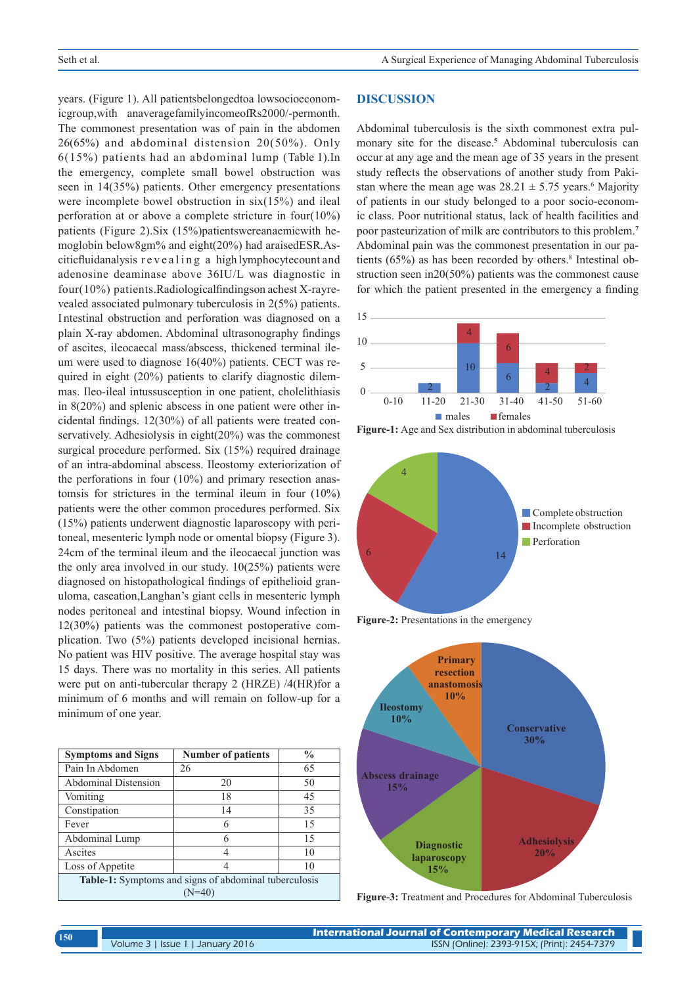years. (Figure 1). All patientsbelongedtoa lowsocioeconomicgroup,with anaveragefamilyincomeofRs2000/-permonth. The commonest presentation was of pain in the abdomen 26(65%) and abdominal distension 20(50%). Only 6(15%) patients had an abdominal lump (Table 1).In the emergency, complete small bowel obstruction was seen in 14(35%) patients. Other emergency presentations were incomplete bowel obstruction in six(15%) and ileal perforation at or above a complete stricture in four(10%) patients (Figure 2).Six (15%)patientswereanaemicwith hemoglobin below8gm% and eight(20%) had araisedESR.Asciticfluidanalysis r e v e a l i n g a high lymphocytecount and adenosine deaminase above 36IU/L was diagnostic in four(10%) patients.Radiologicalfindingson achest X-rayrevealed associated pulmonary tuberculosis in 2(5%) patients. I ntestinal obstruction and perforation was diagnosed on a plain X-ray abdomen. Abdominal ultrasonography findings of ascites, ileocaecal mass/abscess, thickened terminal ileum were used to diagnose 16(40%) patients. CECT was required in eight (20%) patients to clarify diagnostic dilemmas. Ileo-ileal intussusception in one patient, cholelithiasis in 8(20%) and splenic abscess in one patient were other incidental findings. 12(30%) of all patients were treated conservatively. Adhesiolysis in eight(20%) was the commonest surgical procedure performed. Six (15%) required drainage of an intra-abdominal abscess. Ileostomy exteriorization of the perforations in four (10%) and primary resection anastomsis for strictures in the terminal ileum in four (10%) patients were the other common procedures performed. Six (15%) patients underwent diagnostic laparoscopy with peritoneal, mesenteric lymph node or omental biopsy (Figure 3). 24cm of the terminal ileum and the ileocaecal junction was the only area involved in our study. 10(25%) patients were diagnosed on histopathological findings of epithelioid granuloma, caseation,Langhan's giant cells in mesenteric lymph nodes peritoneal and intestinal biopsy. Wound infection in 12(30%) patients was the commonest postoperative complication. Two (5%) patients developed incisional hernias. No patient was HIV positive. The average hospital stay was 15 days. There was no mortality in this series. All patients were put on anti-tubercular therapy 2 (HRZE) /4(HR)for a minimum of 6 months and will remain on follow-up for a minimum of one year.

| <b>Symptoms and Signs</b>                             | <b>Number of patients</b> | $\frac{0}{0}$ |
|-------------------------------------------------------|---------------------------|---------------|
| Pain In Abdomen                                       | 26                        | 65            |
| <b>Abdominal Distension</b>                           | 20                        | 50            |
| Vomiting                                              | 18                        | 45            |
| Constipation                                          | 14                        | 35            |
| Fever                                                 | 6                         | 15            |
| Abdominal Lump                                        | 6                         | 15            |
| Ascites                                               | 4                         | 10            |
| Loss of Appetite                                      | 4                         | 10            |
| Table-1: Symptoms and signs of abdominal tuberculosis |                           |               |
| $(N=40)$                                              |                           |               |

#### **DISCUSSION**

Abdominal tuberculosis is the sixth commonest extra pulmonary site for the disease.**<sup>5</sup>** Abdominal tuberculosis can occur at any age and the mean age of 35 years in the present study reflects the observations of another study from Pakistan where the mean age was  $28.21 \pm 5.75$  years.<sup>6</sup> Majority of patients in our study belonged to a poor socio-economic class. Poor nutritional status, lack of health facilities and poor pasteurization of milk are contributors to this problem.**<sup>7</sup>** Abdominal pain was the commonest presentation in our patients (65%) as has been recorded by others.<sup>8</sup> Intestinal obstruction seen in20(50%) patients was the commonest cause for which the patient presented in the emergency a finding











**Figure-3:** Treatment and Procedures for Abdominal Tuberculosis